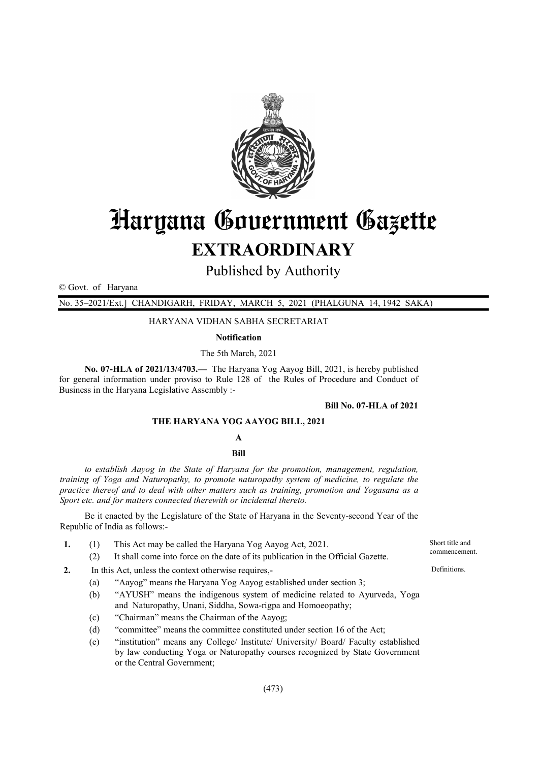

# Haryana Government Gazette EXTRAORDINARY

Published by Authority

© Govt. of Haryana

No. 35–2021/Ext.] CHANDIGARH, FRIDAY, MARCH 5, 2021 (PHALGUNA 14, 1942 SAKA)

HARYANA VIDHAN SABHA SECRETARIAT

Notification

The 5th March, 2021

No. 07-HLA of 2021/13/4703.— The Haryana Yog Aayog Bill, 2021, is hereby published for general information under proviso to Rule 128 of the Rules of Procedure and Conduct of Business in the Haryana Legislative Assembly :-

#### Bill No. 07-HLA of 2021

#### THE HARYANA YOG AAYOG BILL, 2021

#### A

Bill

*to establish Aayog in the State of Haryana for the promotion, management, regulation, training of Yoga and Naturopathy, to promote naturopathy system of medicine, to regulate the practice thereof and to deal with other matters such as training, promotion and Yogasana as a Sport etc. and for matters connected therewith or incidental thereto.*

Be it enacted by the Legislature of the State of Haryana in the Seventy-second Year of the Republic of India as follows:-

- 1. (1) This Act may be called the Haryana Yog Aayog Act, 2021.
	- (2) It shall come into force on the date of its publication in the Official Gazette.
- 2. In this Act, unless the context otherwise requires,-
	- (a) "Aayog" means the Haryana Yog Aayog established under section 3;
		- (b) "AYUSH" means the indigenous system of medicine related to Ayurveda, Yoga and Naturopathy, Unani, Siddha, Sowa-rigpa and Homoeopathy;
		- (c) "Chairman" means the Chairman of the Aayog;
		- (d) "committee" means the committee constituted under section 16 of the Act;
		- (e) "institution" means any College/ Institute/ University/ Board/ Faculty established by law conducting Yoga or Naturopathy courses recognized by State Government or the Central Government;

Short title and commencement.

Definitions.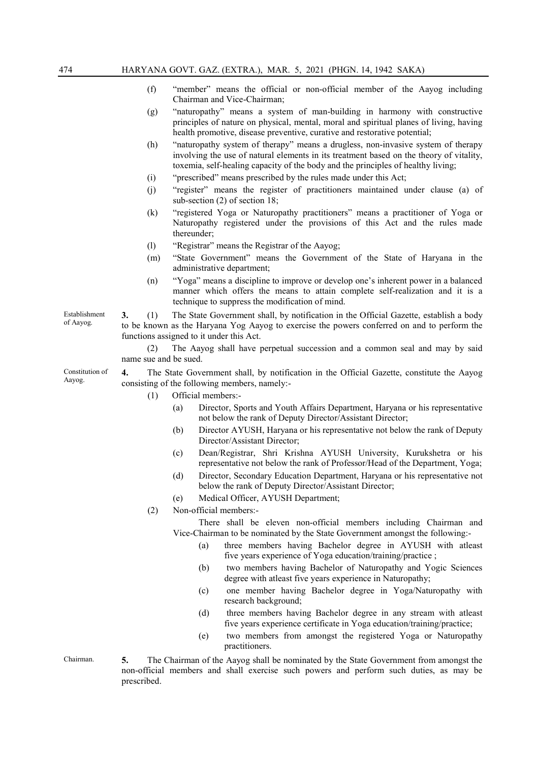- (f) "member" means the official or non-official member of the Aayog including Chairman and Vice-Chairman;
- (g) "naturopathy" means a system of man-building in harmony with constructive principles of nature on physical, mental, moral and spiritual planes of living, having health promotive, disease preventive, curative and restorative potential;
- (h) "naturopathy system of therapy" means a drugless, non-invasive system of therapy involving the use of natural elements in its treatment based on the theory of vitality, toxemia, self-healing capacity of the body and the principles of healthy living;
- (i) "prescribed" means prescribed by the rules made under this Act;
- (j) "register" means the register of practitioners maintained under clause (a) of sub-section (2) of section 18;
- (k) "registered Yoga or Naturopathy practitioners" means a practitioner of Yoga or Naturopathy registered under the provisions of this Act and the rules made thereunder;
- (l) "Registrar" means the Registrar of the Aayog;
- (m) "State Government" means the Government of the State of Haryana in the administrative department;
- (n) "Yoga" means a discipline to improve or develop one's inherent power in a balanced manner which offers the means to attain complete self-realization and it is a technique to suppress the modification of mind.

3. (1) The State Government shall, by notification in the Official Gazette, establish a body to be known as the Haryana Yog Aayog to exercise the powers conferred on and to perform the functions assigned to it under this Act.

(2) The Aayog shall have perpetual succession and a common seal and may by said name sue and be sued.

4. The State Government shall, by notification in the Official Gazette, constitute the Aayog consisting of the following members, namely:-

- (1) Official members:-
	- (a) Director, Sports and Youth Affairs Department, Haryana or his representative not below the rank of Deputy Director/Assistant Director;
	- (b) Director AYUSH, Haryana or his representative not below the rank of Deputy Director/Assistant Director;
	- (c) Dean/Registrar, Shri Krishna AYUSH University, Kurukshetra or his representative not below the rank of Professor/Head of the Department, Yoga;
	- (d) Director, Secondary Education Department, Haryana or his representative not below the rank of Deputy Director/Assistant Director;
	- (e) Medical Officer, AYUSH Department;
- (2) Non-official members:-

There shall be eleven non-official members including Chairman and Vice-Chairman to be nominated by the State Government amongst the following:-

- (a) three members having Bachelor degree in AYUSH with atleast five years experience of Yoga education/training/practice ;
- (b) two members having Bachelor of Naturopathy and Yogic Sciences degree with atleast five years experience in Naturopathy;
- (c) one member having Bachelor degree in Yoga/Naturopathy with research background;
- (d) three members having Bachelor degree in any stream with atleast five years experience certificate in Yoga education/training/practice;
- (e) two members from amongst the registered Yoga or Naturopathy practitioners.

Chairman. 5. The Chairman of the Aayog shall be nominated by the State Government from amongst the non-official members and shall exercise such powers and perform such duties, as may be prescribed.

Establishment

of Aayog.

Constitution of Aayog.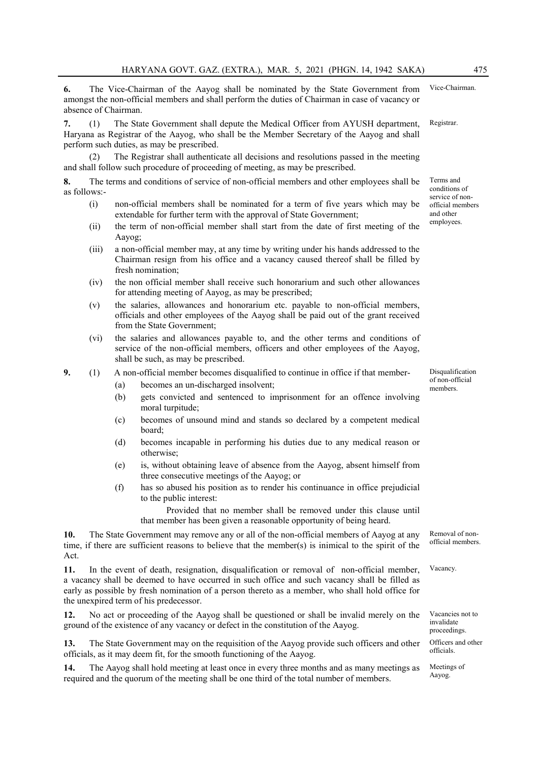6. The Vice-Chairman of the Aayog shall be nominated by the State Government from amongst the non-official members and shall perform the duties of Chairman in case of vacancy or absence of Chairman.

7. (1) The State Government shall depute the Medical Officer from AYUSH department, Haryana as Registrar of the Aayog, who shall be the Member Secretary of the Aayog and shall perform such duties, as may be prescribed. Registrar.

The Registrar shall authenticate all decisions and resolutions passed in the meeting and shall follow such procedure of proceeding of meeting, as may be prescribed.

8. The terms and conditions of service of non-official members and other employees shall be as follows:-

- (i) non-official members shall be nominated for a term of five years which may be extendable for further term with the approval of State Government;
- (ii) the term of non-official member shall start from the date of first meeting of the Aayog;
- (iii) a non-official member may, at any time by writing under his hands addressed to the Chairman resign from his office and a vacancy caused thereof shall be filled by fresh nomination;
- (iv) the non official member shall receive such honorarium and such other allowances for attending meeting of Aayog, as may be prescribed;
- (v) the salaries, allowances and honorarium etc. payable to non-official members, officials and other employees of the Aayog shall be paid out of the grant received from the State Government;
- (vi) the salaries and allowances payable to, and the other terms and conditions of service of the non-official members, officers and other employees of the Aayog, shall be such, as may be prescribed.

9. (1) A non-official member becomes disqualified to continue in office if that member-

- (a) becomes an un-discharged insolvent;
- (b) gets convicted and sentenced to imprisonment for an offence involving moral turpitude;
- (c) becomes of unsound mind and stands so declared by a competent medical board;
- (d) becomes incapable in performing his duties due to any medical reason or otherwise;
- (e) is, without obtaining leave of absence from the Aayog, absent himself from three consecutive meetings of the Aayog; or
- (f) has so abused his position as to render his continuance in office prejudicial to the public interest:

Provided that no member shall be removed under this clause until that member has been given a reasonable opportunity of being heard.

10. The State Government may remove any or all of the non-official members of Aayog at any time, if there are sufficient reasons to believe that the member(s) is inimical to the spirit of the Act.

11. In the event of death, resignation, disqualification or removal of non-official member, a vacancy shall be deemed to have occurred in such office and such vacancy shall be filled as early as possible by fresh nomination of a person thereto as a member, who shall hold office for the unexpired term of his predecessor.

12. No act or proceeding of the Aayog shall be questioned or shall be invalid merely on the ground of the existence of any vacancy or defect in the constitution of the Aayog.

13. The State Government may on the requisition of the Aayog provide such officers and other officials, as it may deem fit, for the smooth functioning of the Aayog.

14. The Aayog shall hold meeting at least once in every three months and as many meetings as required and the quorum of the meeting shall be one third of the total number of members.

Disqualification of non-official members.

Terms and conditions of service of nonofficial members and other employees.

Vice-Chairman.

Removal of nonofficial members.

Vacancy.

Vacancies not to invalidate proceedings. Officers and other officials.

Meetings of Aayog.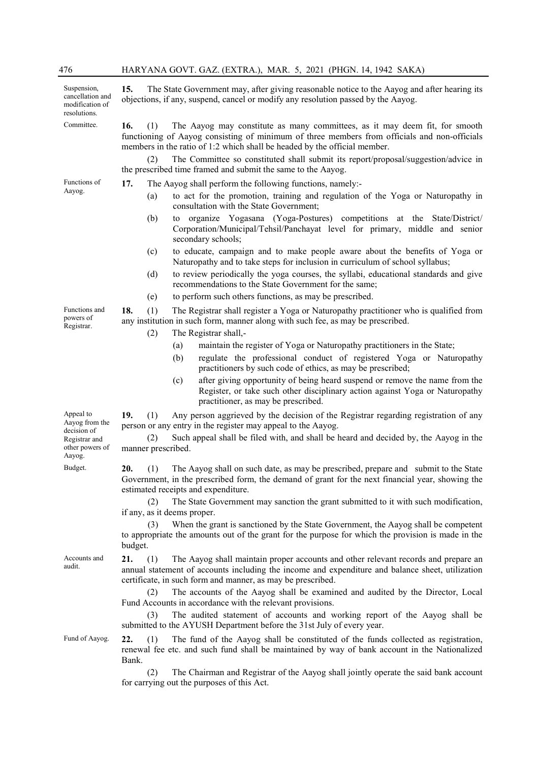| 476                                                                | HARYANA GOVT. GAZ. (EXTRA.), MAR. 5, 2021 (PHGN. 14, 1942 SAKA)                                                                                                                                                                                                        |  |  |  |  |
|--------------------------------------------------------------------|------------------------------------------------------------------------------------------------------------------------------------------------------------------------------------------------------------------------------------------------------------------------|--|--|--|--|
| Suspension,<br>cancellation and<br>modification of<br>resolutions. | 15.<br>The State Government may, after giving reasonable notice to the Aayog and after hearing its<br>objections, if any, suspend, cancel or modify any resolution passed by the Aayog.                                                                                |  |  |  |  |
| Committee.                                                         | The Aayog may constitute as many committees, as it may deem fit, for smooth<br>16.<br>(1)<br>functioning of Aayog consisting of minimum of three members from officials and non-officials<br>members in the ratio of 1:2 which shall be headed by the official member. |  |  |  |  |
|                                                                    | The Committee so constituted shall submit its report/proposal/suggestion/advice in<br>(2)<br>the prescribed time framed and submit the same to the Aayog.                                                                                                              |  |  |  |  |
| Functions of                                                       | 17.<br>The Aayog shall perform the following functions, namely:-                                                                                                                                                                                                       |  |  |  |  |
| Aayog.                                                             | to act for the promotion, training and regulation of the Yoga or Naturopathy in<br>(a)<br>consultation with the State Government;                                                                                                                                      |  |  |  |  |
|                                                                    | organize Yogasana (Yoga-Postures) competitions at the State/District/<br>(b)<br>to<br>Corporation/Municipal/Tehsil/Panchayat level for primary, middle and senior<br>secondary schools;                                                                                |  |  |  |  |
|                                                                    | to educate, campaign and to make people aware about the benefits of Yoga or<br>(c)<br>Naturopathy and to take steps for inclusion in curriculum of school syllabus;                                                                                                    |  |  |  |  |
|                                                                    | to review periodically the yoga courses, the syllabi, educational standards and give<br>(d)<br>recommendations to the State Government for the same;                                                                                                                   |  |  |  |  |
|                                                                    | to perform such others functions, as may be prescribed.<br>(e)                                                                                                                                                                                                         |  |  |  |  |
| Functions and<br>powers of<br>Registrar.                           | The Registrar shall register a Yoga or Naturopathy practitioner who is qualified from<br>18.<br>(1)<br>any institution in such form, manner along with such fee, as may be prescribed.                                                                                 |  |  |  |  |
|                                                                    | The Registrar shall,-<br>(2)                                                                                                                                                                                                                                           |  |  |  |  |
|                                                                    | maintain the register of Yoga or Naturopathy practitioners in the State;<br>(a)<br>regulate the professional conduct of registered Yoga or Naturopathy<br>(b)<br>practitioners by such code of ethics, as may be prescribed;                                           |  |  |  |  |
|                                                                    | after giving opportunity of being heard suspend or remove the name from the<br>(c)<br>Register, or take such other disciplinary action against Yoga or Naturopathy<br>practitioner, as may be prescribed.                                                              |  |  |  |  |
| Appeal to<br>Aayog from the                                        | 19.<br>(1)<br>Any person aggrieved by the decision of the Registrar regarding registration of any<br>person or any entry in the register may appeal to the Aayog.                                                                                                      |  |  |  |  |
| decision of<br>Registrar and<br>other powers of<br>Aayog.          | Such appeal shall be filed with, and shall be heard and decided by, the Aayog in the<br>(2)<br>manner prescribed.                                                                                                                                                      |  |  |  |  |
| Budget.                                                            | (1) The Aayog shall on such date, as may be prescribed, prepare and submit to the State<br>20.<br>Government, in the prescribed form, the demand of grant for the next financial year, showing the<br>estimated receipts and expenditure.                              |  |  |  |  |
|                                                                    | (2)<br>The State Government may sanction the grant submitted to it with such modification,<br>if any, as it deems proper.                                                                                                                                              |  |  |  |  |
|                                                                    | When the grant is sanctioned by the State Government, the Aayog shall be competent<br>(3)<br>to appropriate the amounts out of the grant for the purpose for which the provision is made in the<br>budget.                                                             |  |  |  |  |
| Accounts and<br>audit.                                             | 21.<br>The Aayog shall maintain proper accounts and other relevant records and prepare an<br>(1)<br>annual statement of accounts including the income and expenditure and balance sheet, utilization<br>certificate, in such form and manner, as may be prescribed.    |  |  |  |  |
|                                                                    | The accounts of the Aayog shall be examined and audited by the Director, Local<br>(2)<br>Fund Accounts in accordance with the relevant provisions.                                                                                                                     |  |  |  |  |
|                                                                    | The audited statement of accounts and working report of the Aayog shall be<br>(3)<br>submitted to the AYUSH Department before the 31st July of every year.                                                                                                             |  |  |  |  |
| Fund of Aayog.                                                     | The fund of the Aayog shall be constituted of the funds collected as registration,<br>22.<br>(1)<br>renewal fee etc. and such fund shall be maintained by way of bank account in the Nationalized<br>Bank.                                                             |  |  |  |  |

(2) The Chairman and Registrar of the Aayog shall jointly operate the said bank account for carrying out the purposes of this Act.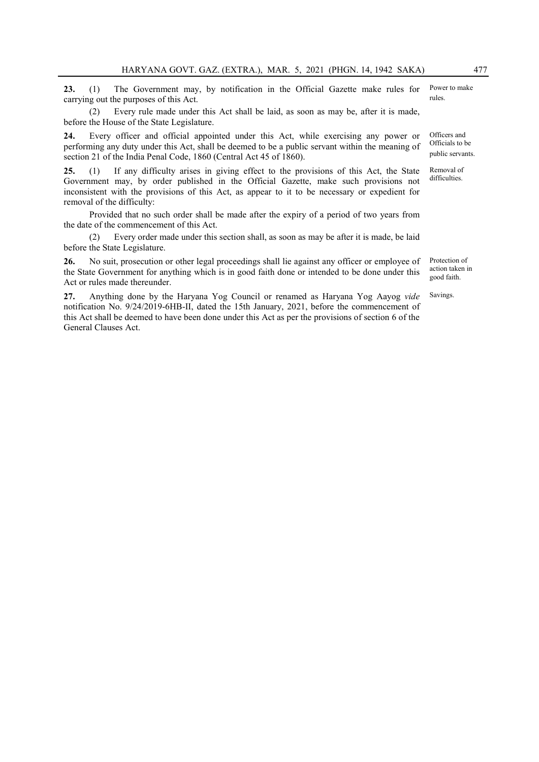23. (1) The Government may, by notification in the Official Gazette make rules for carrying out the purposes of this Act. Power to make

(2) Every rule made under this Act shall be laid, as soon as may be, after it is made, before the House of the State Legislature.

24. Every officer and official appointed under this Act, while exercising any power or performing any duty under this Act, shall be deemed to be a public servant within the meaning of section 21 of the India Penal Code, 1860 (Central Act 45 of 1860).

25. (1) If any difficulty arises in giving effect to the provisions of this Act, the State Government may, by order published in the Official Gazette, make such provisions not inconsistent with the provisions of this Act, as appear to it to be necessary or expedient for removal of the difficulty:

Provided that no such order shall be made after the expiry of a period of two years from the date of the commencement of this Act.

(2) Every order made under this section shall, as soon as may be after it is made, be laid before the State Legislature.

26. No suit, prosecution or other legal proceedings shall lie against any officer or employee of the State Government for anything which is in good faith done or intended to be done under this Act or rules made thereunder.

27. Anything done by the Haryana Yog Council or renamed as Haryana Yog Aayog *vide* notification No. 9/24/2019-6HB-II, dated the 15th January, 2021, before the commencement of this Act shall be deemed to have been done under this Act as per the provisions of section 6 of the General Clauses Act.

rules.

Officers and Officials to be public servants.

Removal of difficulties.

Protection of action taken in good faith.

Savings.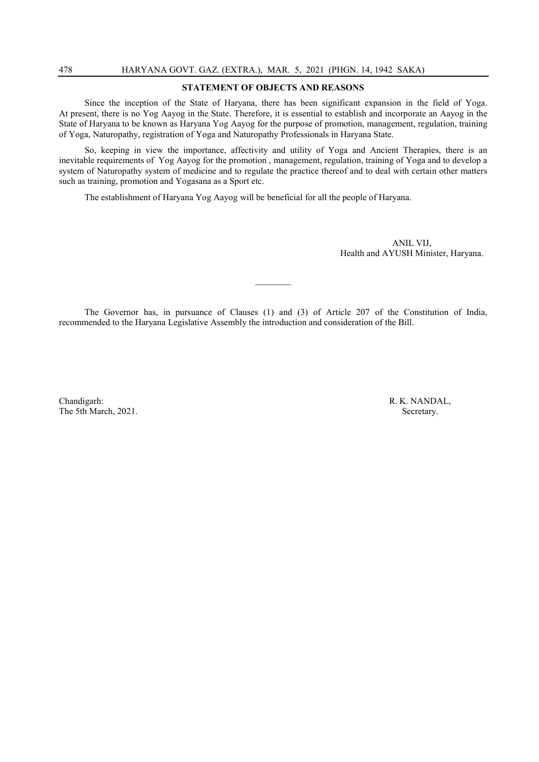#### STATEMENT OF OBJECTS AND REASONS

Since the inception of the State of Haryana, there has been significant expansion in the field of Yoga. At present, there is no Yog Aayog in the State. Therefore, it is essential to establish and incorporate an Aayog in the State of Haryana to be known as Haryana Yog Aayog for the purpose of promotion, management, regulation, training of Yoga, Naturopathy, registration of Yoga and Naturopathy Professionals in Haryana State.

So, keeping in view the importance, affectivity and utility of Yoga and Ancient Therapies, there is an inevitable requirements of Yog Aayog for the promotion , management, regulation, training of Yoga and to develop a system of Naturopathy system of medicine and to regulate the practice thereof and to deal with certain other matters such as training, promotion and Yogasana as a Sport etc.

The establishment of Haryana Yog Aayog will be beneficial for all the people of Haryana.

ANIL VIJ, Health and AYUSH Minister, Haryana.

The Governor has, in pursuance of Clauses (1) and (3) of Article 207 of the Constitution of India, recommended to the Haryana Legislative Assembly the introduction and consideration of the Bill.

 $\mathcal{L}$ 

Chandigarh: R. K. NANDAL, The 5th March, 2021. Secretary.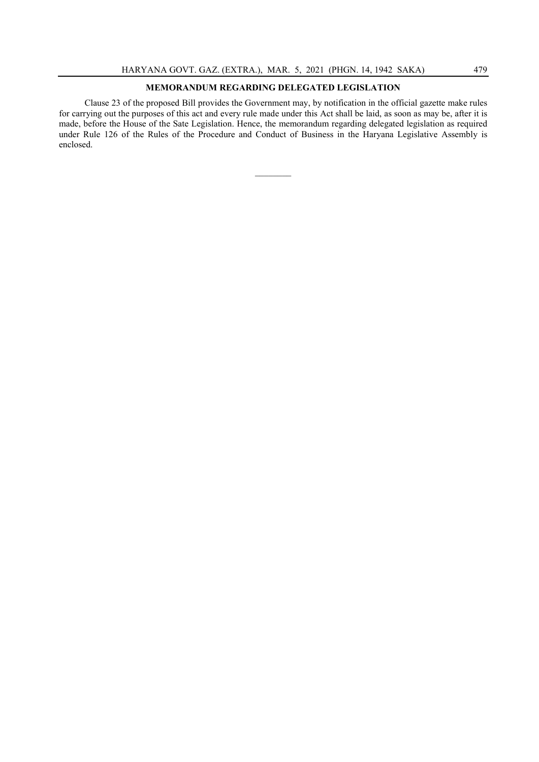### MEMORANDUM REGARDING DELEGATED LEGISLATION

Clause 23 of the proposed Bill provides the Government may, by notification in the official gazette make rules for carrying out the purposes of this act and every rule made under this Act shall be laid, as soon as may be, after it is made, before the House of the Sate Legislation. Hence, the memorandum regarding delegated legislation as required under Rule 126 of the Rules of the Procedure and Conduct of Business in the Haryana Legislative Assembly is enclosed.

 $\mathcal{L}$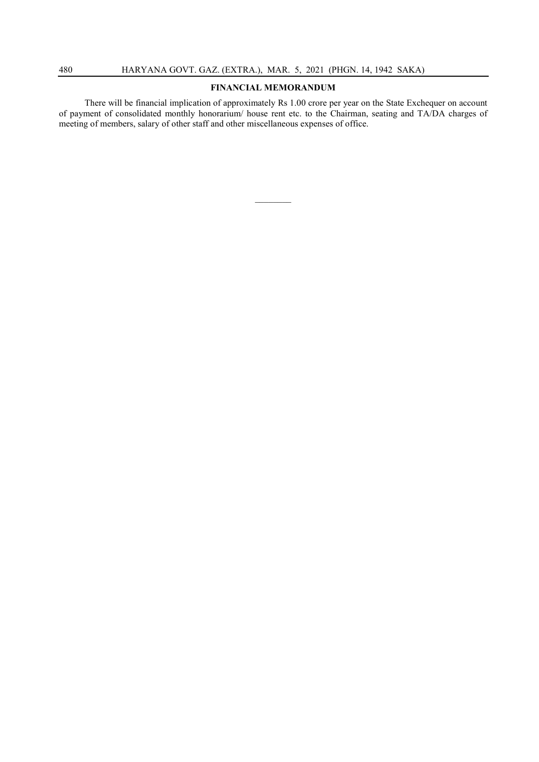#### FINANCIAL MEMORANDUM

There will be financial implication of approximately Rs 1.00 crore per year on the State Exchequer on account of payment of consolidated monthly honorarium/ house rent etc. to the Chairman, seating and TA/DA charges of meeting of members, salary of other staff and other miscellaneous expenses of office.

 $\mathcal{L}$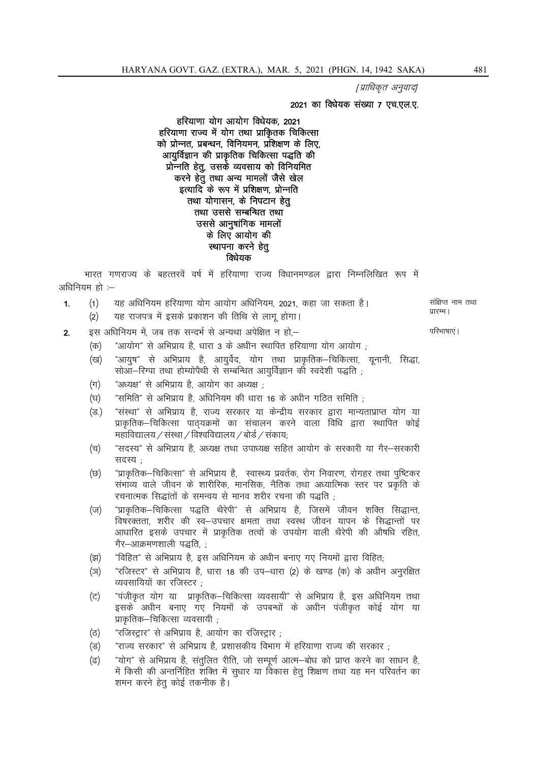[प्राधिकृत अनुवाद]

#### 2021 का विधेयक संख्या 7 एच.एल.ए.

#### हरियाणा योग आयोग विधेयक. 2021 हरियाणा राज्य में योग तथा प्राकितक चिकित्सा को प्रोन्नत, प्रबन्धन, विनियमन, प्रशिक्षण के लिए, आयूर्विज्ञान की प्राकृतिक चिकित्सा पद्धति की प्रोन्नति हेतू, उसके व्यवसाय को विनियमित करने हेतु तथा अन्य मामलों जैसे खेल इत्यादि के रूप में प्रशिक्षण, प्रोन्नति तथा योगासन, के निपटान हेतु तथा उससे सम्बन्धित तथा उससे आनुषांगिक मामलों के लिए आयोग की स्थापना करने हेत् विधेयक

भारत गणराज्य के बहत्तरवें वर्ष में हरियाणा राज्य विधानमण्डल द्वारा निम्नलिखित रूप में अधिनियम हो :-

- यह अधिनियम हरियाणा योग आयोग अधिनियम. 2021. कहा जा सकता है।  $(1)$  $1.$ यह राजपत्र में इसके प्रकाशन की तिथि से लागू होगा।  $(2)$ 
	- इस अधिनियम में. जब तक सन्दर्भ से अन्यथा अपेक्षित न हो.–
	- "आयोग" से अभिप्राय है धारा 3 के अधीन स्थापित हरियाणा योग आयोग <sup>.</sup>  $(\overline{dp})$
	- (ख) "आयुष" से अभिप्राय है, आयुर्वेद, योग तथा प्राकृतिक—चिकित्सा, यूनानी, सिद्धा, सोऑ-रिग्पा तथा होम्योपैथी से सम्बन्धित आयर्विज्ञान को स्वदेशी पद्धति :
	- $(\pi)$ "अध्यक्ष" से अभिप्राय है, आयोग का अध्यक्ष ;

 $2.$ 

- "समिति" से अभिप्राय है, अधिनियम की धारा 16 के अधीन गठित समिति ; (घ)
- "संस्था" से अभिप्राय है. राज्य सरकार या केन्द्रीय सरकार द्वारा मान्यताप्राप्त योग या  $(\overline{3})$ प्राकृतिक–चिकित्सा पाठ्यक्रमों का संचालन करने वाला विधि द्वारा स्थापित कोई महाविद्यालय / संस्था / विश्वविद्यालय / बोर्ड / संकाय:
- "सदस्य" से अभिप्राय है, अध्यक्ष तथा उपाध्यक्ष सहित आयोग के सरकारी या गैर–सरकारी (च) सदस्य -
- "प्राकृतिक–चिकित्सा" से अभिप्राय है, स्वास्थ्य प्रवर्तक, रोग निवारण, रोगहर तथा पुष्टिकर (छ) संभाव्य वाले जीवन के शारीरिक, मानसिक, नैतिक तथा अध्यात्मिक स्तर पर प्रकृति के रचनात्मक सिद्धांतों के समन्वय से मानव शरीर रचना की पद्धति ;
- "प्राकृतिक–चिकित्सा पद्धति थैरेपी" से अभिप्राय है, जिसमें जीवन शक्ति सिद्धान्त,  $(\overline{v})$ विषरक्तता, शरीर की स्व–उपचार क्षमता तथा स्वस्थ जीवन यापन के सिद्धान्तों पर आधारित इसके उपचार में प्राकृतिक तत्वों के उपयोग वाली थैरेपी की औषधि रहित, गैर–आक्रमणशाली पद्धति. :
- "विहित" से अभिप्राय है, इस अधिनियम के अधीन बनाए गए नियमों द्वारा विहित; (झ)
- "रजिस्टर" से अभिप्राय है, धारा 18 की उप-धारा (2) के खण्ड (क) के अधीन अनुरक्षित  $(\overline{5})$ व्यवसायियों का रजिस्टर :
- "पंजीकृत योग या प्राकृतिक–चिकित्सा व्यवसायी" से अभिप्राय है, इस अधिनियम तथा (ਟ) इसके अधीन बनाए गए नियमों के उपबन्धों के अधीन पंजीकृत कोई योग या प्राकृतिक–चिकित्सा व्यवसायी ;
- "रजिस्टार" से अभिप्राय है. आयोग का रजिस्टार:  $(\overline{c})$
- "राज्य सरकार" से अभिप्राय है, प्रशासकीय विभाग में हरियाणा राज्य की सरकार ;  $(\overline{s})$
- "योग" से अभिप्राय है. संतलित रीति, जो सम्पर्ण आत्म—बोध को प्राप्त करने का साधन है.  $(\overline{d})$ में किसी की अन्तर्निहित शक्ति में सुधार या विकास हेतू शिक्षण तथा यह मन परिवर्तन का शमन करने हेतु कोई तकनीक है।

परिभाषाएं ।

प्रारम्भ ।

संक्षिप्त नाम तथा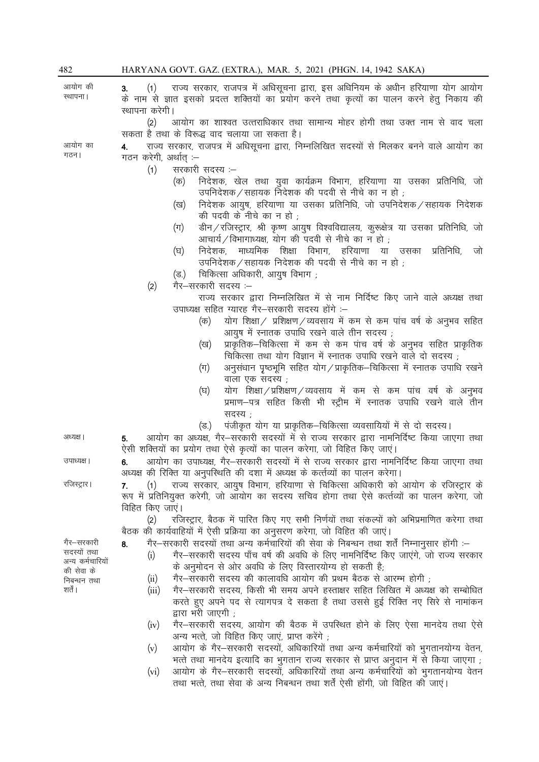| 482                             | HARYANA GOVT. GAZ. (EXTRA.), MAR. 5, 2021 (PHGN. 14, 1942 SAKA)                                                                                                                                                                                                |
|---------------------------------|----------------------------------------------------------------------------------------------------------------------------------------------------------------------------------------------------------------------------------------------------------------|
| आयोग की<br>स्थापना ।            | राज्य सरकार, राजपत्र में अधिसूचना द्वारा, इस अधिनियम के अधीन हरियाणा योग आयोग<br>(1)<br>3.<br>के नाम से ज्ञात इसको प्रदत्त शक्तियों का प्रयोग करने तथा कृत्यों का पालन करने हेतु निकाय की<br>स्थापना करेगी।                                                    |
|                                 | (2)<br>आयोग का शाश्वत उत्तराधिकार तथा सामान्य मोहर होगी तथा उक्त नाम से वाद चला<br>सकता है तथा के विरूद्ध वाद चलाया जा सकता है।                                                                                                                                |
| आयोग का<br>गठन।                 | राज्य सरकार, राजपत्र में अधिसूचना द्वारा, निम्नलिखित सदस्यों से मिलकर बनने वाले आयोग का<br>4.<br>गठन करेगी, अर्थात् :–                                                                                                                                         |
|                                 | सरकारी सदस्य :–<br>(1)                                                                                                                                                                                                                                         |
|                                 | निदेशक, खेल तथा युवा कार्यक्रम विभाग, हरियाणा या उसका प्रतिनिधि, जो<br>(क)<br>उपनिदेशक / सहायक निदेशक की पदवी से नीचे का न हो ;                                                                                                                                |
|                                 | निदेशक आयुष, हरियाणा या उसका प्रतिनिधि, जो उपनिदेशक / सहायक निदेशक<br>(ख)<br>की पदवी के नीचे का न हो ;                                                                                                                                                         |
|                                 | डीन / रजिस्ट्रार, श्री कृष्ण आयुष विश्वविद्यालय, कुरूक्षेत्र या उसका प्रतिनिधि, जो<br>$(\pi)$<br>आचार्य/विभागाध्यक्ष, योग की पदवी से नीचे का न हो ;                                                                                                            |
|                                 | निदेशक, माध्यमिक शिक्षा विभाग, हरियाणा या उसका<br>प्रतिनिधि,<br>जो<br>(घ)<br>उपनिदेशक / सहायक निदेशक की पदवी से नीचे का न हो ;                                                                                                                                 |
|                                 | चिकित्सा अधिकारी, आयुष विभाग ;<br>(ত্ত.)                                                                                                                                                                                                                       |
|                                 | गैर–सरकारी सदस्य :–<br>(2)<br>राज्य सरकार द्वारा निम्नलिखित में से नाम निर्दिष्ट किए जाने वाले अध्यक्ष तथा                                                                                                                                                     |
|                                 | उपाध्यक्ष सहित ग्यारह गैर–सरकारी सदस्य होंगे :–                                                                                                                                                                                                                |
|                                 | योग शिक्षा/ प्रशिक्षण/व्यवसाय में कम से कम पांच वर्ष के अनुभव सहित<br>(क)                                                                                                                                                                                      |
|                                 | आयुष में स्नातक उपाधि रखने वाले तीन सदस्य ;<br>प्राकृतिक–चिकित्सा में कम से कम पांच वर्ष के अनुभव सहित प्राकृतिक                                                                                                                                               |
|                                 | (ख)<br>चिकित्सा तथा योग विज्ञान में स्नातक उपाधि रखने वाले दो सदस्य ;                                                                                                                                                                                          |
|                                 | अनुसंधान पृष्ठभूमि सहित योग/प्राकृतिक-चिकित्सा में स्नातक उपाधि रखने<br>$(\pi)$<br>वाला एक सदस्य ;                                                                                                                                                             |
|                                 | योग शिक्षा/प्रशिक्षण/व्यवसाय में कम से कम पांच वर्ष के अनुभव<br>(घ)<br>प्रमाण–पत्र सहित किसी भी स्ट्रीम में स्नातक उपाधि रखने वाले तीन                                                                                                                         |
|                                 | सदस्य;<br>पंजीकृत योग या प्राकृतिक-चिकित्सा व्यवसायियों में से दो सदस्य।<br>(ত্ত.)                                                                                                                                                                             |
| अध्यक्ष ।                       | आयोग का अध्यक्ष, गैर–सरकारी सदस्यों में से राज्य सरकार द्वारा नामनिर्दिष्ट किया जाएगा तथा<br>5.<br>ऐसी शक्तियों का प्रयोग तथा ऐसे कृत्यों का पालन करेगा, जो विहित किए जाएं।                                                                                    |
| उपाध्यक्ष ।                     | आयोग का उपाध्यक्ष, गैर–सरकारी सदस्यों में से राज्य सरकार द्वारा नामनिर्दिष्ट किया जाएगा तथा<br>6.<br>अध्यक्ष की रिक्ति या अनुपस्थिति की दशा में अध्यक्ष के कर्त्तव्यों का पालन करेगा।                                                                          |
| रजिस्ट्रार।                     | (1) राज्य सरकार, आयुष विभाग, हरियाणा से चिकित्सा अधिकारी को आयोग के रजिस्ट्रार के<br>7.                                                                                                                                                                        |
|                                 | रूप में प्रतिनियुक्त करेगी, जो आयोग का सदस्य सचिव होगा तथा ऐसे कर्त्तव्यों का पालन करेगा, जो<br>विहित किए जाएं।                                                                                                                                                |
|                                 | रजिस्ट्रार, बैठक में पारित किए गए सभी निर्णयों तथा संकल्पों को अभिप्रमाणित करेगा तथा<br>(2)                                                                                                                                                                    |
|                                 | बैठक की कार्यवाहियों में ऐसी प्रक्रिया का अनुसरण करेगा, जो विहित की जाएं।                                                                                                                                                                                      |
| गैर—सरकारी                      | गैर–सरकारी सदस्यों तथा अन्य कर्मचारियों की सेवा के निबन्धन तथा शर्तें निम्नानुसार होंगी :–<br>8.                                                                                                                                                               |
| सदस्यों तथा<br>अन्य कर्मचारियों | गैर–सरकारी सदस्य पाँच वर्ष की अवधि के लिए नामनिर्दिष्ट किए जाएंगे, जो राज्य सरकार<br>(i)                                                                                                                                                                       |
| की सेवा के                      | के अनुमोदन से ओर अवधि के लिए विस्तारयोग्य हो सकती है;<br>गैर–सरकारी सदस्य की कालावधि आयोग की प्रथम बैठक से आरम्भ होगी ;                                                                                                                                        |
| निबन्धन तथा<br>शर्ते ।          | (ii)<br>गैर–सरकारी सदस्य, किसी भी समय अपने हस्ताक्षर सहित लिखित में अध्यक्ष को सम्बोधित<br>(iii)                                                                                                                                                               |
|                                 | करते हुए अपने पद से त्यागपत्र दे सकता है तथा उससे हुई रिक्ति नए सिरे से नामांकन<br>द्वारा भरी जाएगी ;                                                                                                                                                          |
|                                 | गैर–सरकारी सदस्य, आयोग की बैठक में उपस्थित होने के लिए ऐसा मानदेय तथा ऐसे<br>(iv)<br>अन्य भत्ते, जो विहित किए जाएं, प्राप्त करेंगे ,                                                                                                                           |
|                                 | आयोग के गैर-सरकारी सदस्यों, अधिकारियों तथा अन्य कर्मचारियों को भुगतानयोग्य वेतन,<br>(v)                                                                                                                                                                        |
|                                 | , भत्ते तथा मानदेय इत्यादि का भुगतान राज्य सरकार से प्राप्त अनुदान में से किया जाएगा<br>आयोग के गैर-सरकारी सदस्यों, अधिकारियों तथा अन्य कर्मचारियों को भुगतानयोग्य वेतन<br>(vi)<br>तथा भत्ते, तथा सेवा के अन्य निबन्धन तथा शर्तें ऐसी होंगी, जो विहित की जाएं। |
|                                 |                                                                                                                                                                                                                                                                |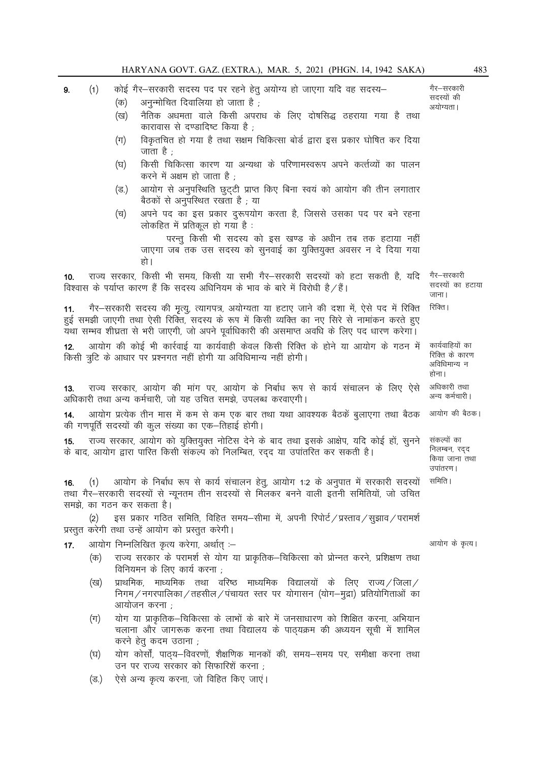| 9.                                                                                                                                                                                                                                                                                             | (1)                                                                                                                                             | कोई गैर-सरकारी सदस्य पद पर रहने हेतु अयोग्य हो जाएगा यदि वह सदस्य-<br>अनुन्मोचित दिवालिया हो जाता है;<br>(क) |                                                                                                                                                                                     |                                                            |  |  |
|------------------------------------------------------------------------------------------------------------------------------------------------------------------------------------------------------------------------------------------------------------------------------------------------|-------------------------------------------------------------------------------------------------------------------------------------------------|--------------------------------------------------------------------------------------------------------------|-------------------------------------------------------------------------------------------------------------------------------------------------------------------------------------|------------------------------------------------------------|--|--|
|                                                                                                                                                                                                                                                                                                |                                                                                                                                                 | (ख)                                                                                                          | नैतिक अधमता वाले किसी अपराध के लिए दोषसिद्ध ठहराया गया है तथा<br>कारावास से दण्डादिष्ट किया है ;                                                                                    | अयोग्यता।                                                  |  |  |
|                                                                                                                                                                                                                                                                                                |                                                                                                                                                 | (ग)                                                                                                          | विकृतचित हो गया है तथा सक्षम चिकित्सा बोर्ड द्वारा इस प्रकार घोषित कर दिया<br>जाता है ;                                                                                             |                                                            |  |  |
|                                                                                                                                                                                                                                                                                                |                                                                                                                                                 | (घ)                                                                                                          | किसी चिकित्सा कारण या अन्यथा के परिणामस्वरूप अपने कर्त्तव्यों का पालन<br>करने में अक्षम हो जाता है ;                                                                                |                                                            |  |  |
|                                                                                                                                                                                                                                                                                                |                                                                                                                                                 | (ভ.)                                                                                                         | आयोग से अनुपस्थिति छुट्टी प्राप्त किए बिना स्वयं को आयोग की तीन लगातार<br>बैठकों से अनुपस्थित रखता है ; या                                                                          |                                                            |  |  |
|                                                                                                                                                                                                                                                                                                |                                                                                                                                                 | (च)                                                                                                          | अपने पद का इस प्रकार दुरूपयोग करता है, जिससे उसका पद पर बने रहना<br>लोकहित में प्रतिकूल हो गया है:                                                                                  |                                                            |  |  |
|                                                                                                                                                                                                                                                                                                |                                                                                                                                                 |                                                                                                              | परन्तु किसी भी सदस्य को इस खण्ड के अधीन तब तक हटाया नहीं<br>जाएगा जब तक उस सदस्य को सुनवाई का युक्तियुक्त अवसर न दे दिया गया<br>हो ।                                                |                                                            |  |  |
| राज्य सरकार, किसी भी समय, किसी या सभी गैर–सरकारी सदस्यों को हटा सकती है, यदि<br>10 <sub>1</sub><br>विश्वास के पर्याप्त कारण हैं कि सदस्य अधिनियम के भाव के बारे में विरोधी है/हैं।                                                                                                             |                                                                                                                                                 |                                                                                                              |                                                                                                                                                                                     |                                                            |  |  |
| गैर–सरकारी सदस्य की मृत्यु, त्यागपत्र, अयोग्यता या हटाए जाने की दशा में, ऐसे पद में रिक्ति<br>11.<br>हुई समझी जाएगी तथा ऐसी रिक्ति, सदस्य के रूप में किसी व्यक्ति का नए सिरे से नामांकन करते हुए<br>यथा सम्भव शीघ्रता से भरी जाएगी, जो अपने पूर्वाधिकारी की असमाप्त अवधि के लिए पद धारण करेगा। |                                                                                                                                                 |                                                                                                              |                                                                                                                                                                                     |                                                            |  |  |
| आयोग की कोई भी कार्रवाई या कार्यवाही केवल किसी रिक्ति के होने या आयोग के गठन में<br>12.<br>किसी त्रूटि के आधार पर प्रश्नगत नहीं होगी या अविधिमान्य नहीं होगी।                                                                                                                                  |                                                                                                                                                 |                                                                                                              |                                                                                                                                                                                     |                                                            |  |  |
| राज्य सरकार, आयोग की मांग पर, आयोग के निर्बाध रूप से कार्य संचालन के लिए ऐसे<br>13.<br>अधिकारी तथा अन्य कर्मचारी, जो यह उचित समझे, उपलब्ध करवाएगी।                                                                                                                                             |                                                                                                                                                 |                                                                                                              |                                                                                                                                                                                     |                                                            |  |  |
| आयोग प्रत्येक तीन मास में कम से कम एक बार तथा यथा आवश्यक बैठकें बुलाएगा तथा बैठक<br>14.<br>की गणपूर्ति सदस्यों की कुल संख्या का एक-तिहाई होगी।                                                                                                                                                 |                                                                                                                                                 |                                                                                                              |                                                                                                                                                                                     |                                                            |  |  |
| 15.                                                                                                                                                                                                                                                                                            |                                                                                                                                                 |                                                                                                              | राज्य सरकार, आयोग को युक्तियुक्त नोटिस देने के बाद तथा इसके आक्षेप, यदि कोई हों, सुनने<br>के बाद, आयोग द्वारा पारित किसी संकल्प को निलम्बित, रद्द या उपांतरित कर सकती है।           | संकल्पों का<br>निलम्बन, रद्द<br>किया जाना तथा<br>उपांतरण । |  |  |
| (1)    आयोग के निर्बाध रूप से कार्य संचालन हेतु, आयोग 1:2 के अनुपात में सरकारी सदस्यों   समिति।<br>16.<br>तथा गैर–सरकारी सदस्यों से न्यूनतम तीन सदस्यों से मिलकर बनने वाली इतनी समितियों, जो उचित<br>समझे, का गठन कर सकता है।                                                                  |                                                                                                                                                 |                                                                                                              |                                                                                                                                                                                     |                                                            |  |  |
|                                                                                                                                                                                                                                                                                                | इस प्रकार गठित समिति, विहित समय–सीमा में, अपनी रिपोर्ट / प्रस्ताव / सुझाव / परामर्श<br>(2)<br>प्रस्तुत करेगी तथा उन्हें आयोग को प्रस्तुत करेगी। |                                                                                                              |                                                                                                                                                                                     |                                                            |  |  |
| 17.                                                                                                                                                                                                                                                                                            |                                                                                                                                                 |                                                                                                              | आयोग निम्नलिखित कृत्य करेगा, अर्थात् :–                                                                                                                                             | आयोग के कृत्य।                                             |  |  |
|                                                                                                                                                                                                                                                                                                | (क)                                                                                                                                             |                                                                                                              | राज्य सरकार के परामर्श से योग या प्राकृतिक–चिकित्सा को प्रोन्नत करने, प्रशिक्षण तथा<br>विनियमन के लिए कार्य करना ;                                                                  |                                                            |  |  |
|                                                                                                                                                                                                                                                                                                | (ख)                                                                                                                                             |                                                                                                              | प्राथमिक, माध्यमिक तथा वरिष्ठ माध्यमिक विद्यालयों के लिए राज्य $/$ जिला $/$<br>निगम/नगरपालिका/तहसील/पंचायत स्तर पर योगासन (योग–मुद्रा) प्रतियोगिताओं का<br>आयोजन करना ;             |                                                            |  |  |
|                                                                                                                                                                                                                                                                                                | $(\pi)$                                                                                                                                         |                                                                                                              | योग या प्राकृतिक–चिकित्सा के लाभों के बारे में जनसाधारण को शिक्षित करना, अभियान<br>चलाना और जागरूक करना तथा विद्यालय के पाठ्यक्रम की अध्ययन सूची में शामिल<br>करने हेतु कदम उठाना ; |                                                            |  |  |
|                                                                                                                                                                                                                                                                                                | (घ)                                                                                                                                             |                                                                                                              | योग कोर्सो, पाठ्य-विवरणों, शैक्षणिक मानकों की, समय-समय पर, समीक्षा करना तथा<br>उन पर राज्य सरकार को सिफारिशें करना ;                                                                |                                                            |  |  |
|                                                                                                                                                                                                                                                                                                | (ভ.)                                                                                                                                            |                                                                                                              | ऐसे अन्य कृत्य करना, जो विहित किए जाएं।                                                                                                                                             |                                                            |  |  |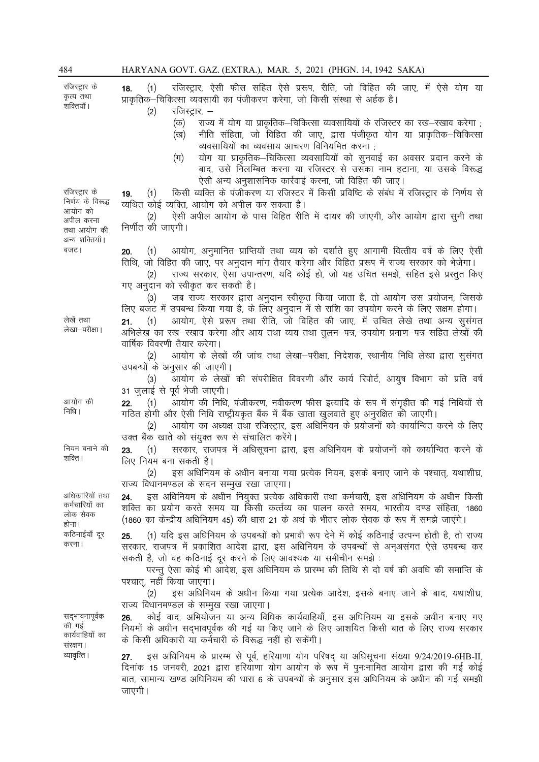रजिस्टार के कृत्य तथा ्<br>शक्तियाँ । 18. (1) रजिस्टार, ऐसी फीस सहित ऐसे प्ररूप, रीति, जो विहित की जाए, में ऐसे योग या प्राकृतिक–चिकित्सा व्यवसायी का पंजीकरण करेगा. जो किसी संस्था से अर्हक है।  $(2)$  रजिस्ट्रार, –  $($ क) राज्य में योग या प्राकृतिक–चिकित्सा व्यवसायियों के रजिस्टर का रख–रखाव करेगा (ख) नीति संहिता, जो विहित की जाए, द्वारा पंजीकृत योग या प्राकृतिक–चिकित्सा |<br>| व्यवसायियों का व्यवसाय आचरण विनियमित करना (ग) योग या प्राकृतिक–चिकित्सा व्यवसायियों को सुनवाई का अवसर प्रदान करने के बाद, उसे निलम्बित करना या रजिस्टर से उसका नाम हटाना, या उसके विरूद्ध ऐसी अन्य अनुशासनिक कार्रवाई करना, जो विहित की जाए। रजिस्ट्रार के निर्णय के विरूद्ध 19. (1) किसी व्यक्ति के पंजीकरण या रजिस्टर में किसी प्रविष्टि के संबंध में रजिस्ट्रार के निर्णय से व्यथित कोई व्यक्ति, आयोग को अपील कर सकता है। (2) ऐसी अपील आयोग के पास विहित रीति में दायर की जाएगी, और आयोग द्वारा सुनी तथा निर्णीत की जाएगी। ctVA 20- ¼1½ vk;ksx] vuqekfur izkfIr;ksa rFkk O;; dks n'kkZrs gq, vkxkeh foRrh; o"kZ ds fy, ,slh तिथि, जो विहित की जाए, पर अनुदान मांग तैयार करेगा और विहित प्ररूप में राज्य सरकार को भेजेगा। (2) राज्य सरकार, ऐसा उपान्तरण, यदि कोई हो, जो यह उचित समझे, सहित इसे प्रस्तुत किए गए अनुदान को स्वीकृत कर सकती है। (3) जब राज्य सरकार द्वारा अनुदान स्वीकृत किया जाता है, तो आयोग उस प्रयोजन, जिसके लिए बजट में उपबन्ध किया गया है, के लिए अनुदान में से राशि का उपयोग करने के लिए सक्षम होगा। लेखा—परीक्षा। 21. (1) आयोग, ऐसे प्ररूप तथा रीति, जो विहित की जाए, में उचित लेखे तथा अन्य सूसंगत अभिलेख का रख-रखाव करेगा और आय तथा व्यय तथा तुलन-पत्र, उपयोग प्रमाण-पत्र सहित लेखों की वार्षिक विवरणी तैयार करेगा। (2) आयोग के लेखों की जांच तथा लेखा-परीक्षा, निदेशक, स्थानीय निधि लेखा द्वारा सूसंगत उपबन्धों के अनुसार की जाएगी। (3) आयोग के लेखों की संपरीक्षित विवरणी और कार्य रिपोर्ट, आयुष विभाग को प्रति वर्ष 31 जुलाई से पूर्व भेजी जाएगी। 22. (1) आयोग की निधि, पंजीकरण, नवीकरण फीस इत्यादि के रूप में संगृहीत की गई निधियों से गठित होगी और ऐसी निधि राष्ट्रीयकृत बैंक में बैंक खाता खलवाते हुए अनरक्षित की जाएगी। (2) आयोग का अध्यक्ष तथा रजिस्ट्रार, इस अधिनियम के प्रयोजनों को कार्यान्वित करने के लिए उक्त बैंक खाते को संयुक्त रूप से संचालित करेंगे। नियम बनाने की 23. (1) सरकार, राजपत्र में अधिसूचना द्वारा, इस अधिनियम के प्रयोजनों को कार्यान्वित करने के लिए नियम बना सकती है। (2) हस अधिनियम के अधीन बनाया गया प्रत्येक नियम, इसके बनाए जाने के पश्चात, यथाशीघ्र, राज्य विधानमण्डल के सदन सम्मुख रखा जाएगा। 24. इस अधिनियम के अधीन नियुक्त प्रत्येक अधिकारी तथा कर्मचारी, इस अधिनियम के अधीन किसी शक्ति का प्रयोग करते समय या किसी कर्त्तव्य का पालन करते समय. भारतीय दण्ड संहिता. 1860 (1860 का केन्द्रीय अधिनियम 45) की धारा 21 के अर्थ के भीतर लोक सेवक के रूप में समझे जाएंगे। 25. (1) यदि इस अधिनियम के उपबन्धों को प्रभावी रूप देने में कोई कठिनाई उत्पन्न होती है, तो राज्य सरकार, राजपत्र में प्रकाशित आदेश द्वारा, इस अधिनियम के उपबन्धों से अनुअसंगत ऐसे उपबन्ध कर सकती है, जो वह कठिनाई दूर करने के लिए आवश्यक या समीचीन समझे: परन्तु ऐसा कोई भी आदेश, इस अधिनियम के प्रारम्भ की तिथि से दो वर्ष की अवधि की समाप्ति के पश्चात, नहीं किया जाएगा। (2) इस अधिनियम के अधीन किया गया प्रत्येक आदेश, इसके बनाए जाने के बाद, यथाशीघ्र, राज्य विधानमण्डल के सम्मुख रखा जाएगा। सद्भावनापूर्वक 26. कोई वाद, अभियोजन या अन्य विधिक कार्यवाहियाँ, इस अधिनियम या इसके अधीन बनाए गए नियमों के अधीन सद्भावपूर्वक की गई या किए जाने के लिए आशयित किसी बात के लिए राज्य सरकार के किसी अधिकारी या कर्मचारी के विरूद्ध नहीं हो सकेंगी। व्यावृत्ति। 27. इस अधिनियम के प्रारम्भ से पूर्व, हरियाणा योग परिषद या अधिसूचना संख्या  $9/24/2019$ -6HB-II, दिनांक 15 जनवरी, 2021 द्वारा हरियाणा योग आयोग के रूप में पुनःनामित आयोग द्वारा की गई कोई बात, सामान्य खण्ड अधिनियम की धारा 6 के उपबन्धों के अनुसार इस अधिनियम के अधीन की गई समझी

आयोग को अपील करना तथा आयोग की अन्य शक्तियाँ।

लेखें तथा

आयोग की निधि।

शक्ति ।

अधिकारियों तथा कर्मचारियों का लोक सेवक होना। कठिनाईयाँ दर करना।

की गई कार्यवाहियों का संरक्षण ।

जाएगी।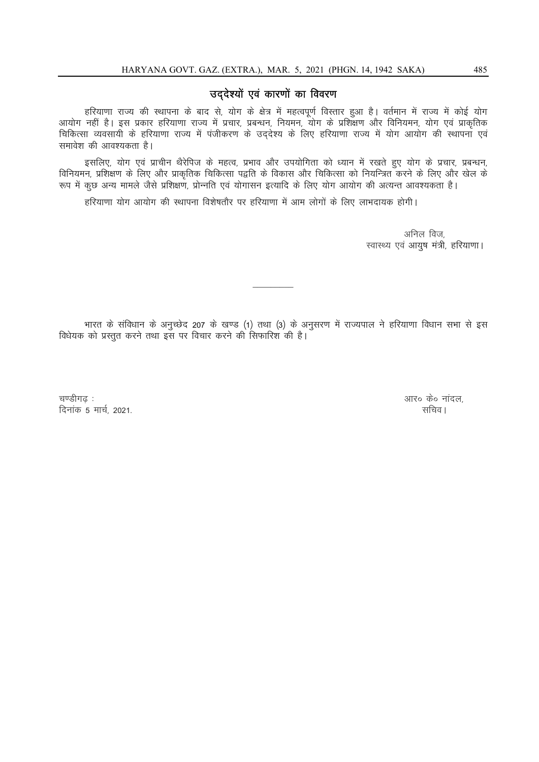# उद्देश्यों एवं कारणों का विवरण

हरियाणा राज्य की स्थापना के बाद से, योग के क्षेत्र में महत्वपूर्ण विस्तार हुआ है। वर्तमान में राज्य में कोई योग आयोग नहीं है। इस प्रकार हरियाणा राज्य में प्रचार, प्रबन्धन, नियमन, योग के प्रशिक्षण और विनियमन, योग एवं प्राकृतिक .<br>चिकित्सा व्यवसायी के हरियाणा राज्य में पंजीकरण के उददेश्य के लिए हरियाणा राज्य में योग आयोग की स्थापना एवं समावेश की आवश्यकता है।

इसलिए, योग एवं प्राचीन थैरेपिज के महत्व, प्रभाव और उपयोगिता को ध्यान में रखते हुए योग के प्रचार, प्रबन्धन, विनियमन, प्रशिक्षण के लिए और प्राकृतिक चिकित्सा पद्वति के विकास और चिकित्सा को नियन्त्रित करने के लिए और खेल के : रूप में कुछ अन्य मामले जैसे प्रशिक्षण, प्रोन्नति एवं योगासन इत्यादि के लिए योग आयोग की अत्यन्त आवश्यकता है।

हरियाणा योग आयोग की स्थापना विशेषतौर पर हरियाणा में आम लोगों के लिए लाभदायक होगी।

अनिल विज. स्वास्थ्य एवं आयुष मंत्री, हरियाणा।

भारत के संविधान के अनुच्छेद 207 के खण्ड (1) तथा (3) के अनुसरण में राज्यपाल ने हरियाणा विधान सभा से इस विधेयक को प्रस्तुत करने तथा इस पर विचार करने की सिफारिश की है।

 $\mathcal{L}$ 

p.Mhx<+ % vkjå dså ukany] fnukad 5 ekpZ] 2021- lfpoA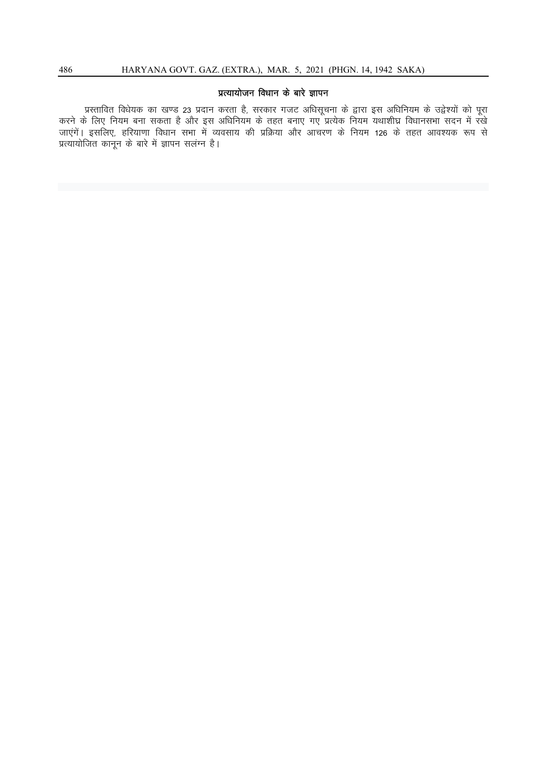## प्रत्यायोजन विधान के बारे ज्ञापन

प्रस्तावित विधेयक का खण्ड 23 प्रदान करता है, सरकार गजट अधिसूचना के द्वारा इस अधिनियम के उद्वेश्यों को पूरा करने के लिए नियम बना सकता है और इस अधिनियम के तहत बनाए गए प्रत्येक नियम यथाशीघ्र विधानसभा सदन में रखे जाएंगें। इसलिए, हरियाणा विधान सभा में व्यवसाय की प्रक्रिया और आचरण के नियम 126 के तहत आवश्यक रूप से प्रत्यायोजित कानून के बारे में ज्ञापन सलंग्न है।